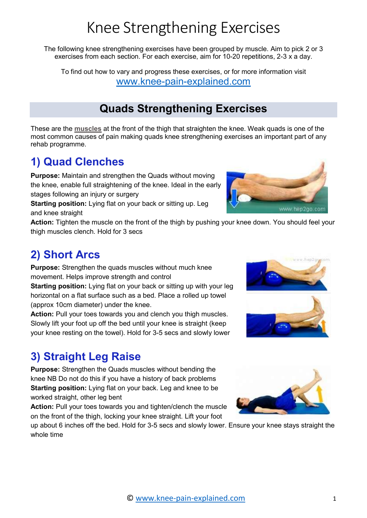# Knee Strengthening Exercises

The following knee strengthening exercises have been grouped by muscle. Aim to pick 2 or 3 exercises from each section. For each exercise, aim for 10-20 repetitions, 2-3 x a day.

To find out how to vary and progress these exercises, or for more information visit www.knee-pain-explained.com

#### Quads Strengthening Exercises

These are the muscles at the front of the thigh that straighten the knee. Weak quads is one of the most common causes of pain making quads knee strengthening exercises an important part of any rehab programme.

## 1) Quad Clenches

Purpose: Maintain and strengthen the Quads without moving the knee, enable full straightening of the knee. Ideal in the early stages following an injury or surgery

Starting position: Lying flat on your back or sitting up. Leg and knee straight



Action: Tighten the muscle on the front of the thigh by pushing your knee down. You should feel your thigh muscles clench. Hold for 3 secs

#### 2) Short Arcs

Purpose: Strengthen the quads muscles without much knee movement. Helps improve strength and control

Starting position: Lying flat on your back or sitting up with your leg horizontal on a flat surface such as a bed. Place a rolled up towel (approx 10cm diameter) under the knee.

Action: Pull your toes towards you and clench you thigh muscles. Slowly lift your foot up off the bed until your knee is straight (keep your knee resting on the towel). Hold for 3-5 secs and slowly lower

## 3) Straight Leg Raise

Purpose: Strengthen the Quads muscles without bending the knee NB Do not do this if you have a history of back problems Starting position: Lying flat on your back. Leg and knee to be worked straight, other leg bent

Action: Pull your toes towards you and tighten/clench the muscle on the front of the thigh, locking your knee straight. Lift your foot

up about 6 inches off the bed. Hold for 3-5 secs and slowly lower. Ensure your knee stays straight the whole time



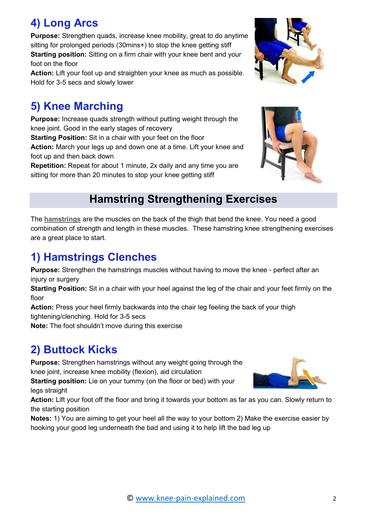#### 4) Long Arcs

Purpose: Strengthen quads, increase knee mobility, great to do anytime sitting for prolonged periods (30mins+) to stop the knee getting stiff Starting position: Sitting on a firm chair with your knee bent and your foot on the floor

Action: Lift your foot up and straighten your knee as much as possible. Hold for 3-5 secs and slowly lower

## 5) Knee Marching

Purpose: Increase quads strength without putting weight through the knee joint. Good in the early stages of recovery

Starting Position: Sit in a chair with your feet on the floor

Action: March your legs up and down one at a time. Lift your knee and foot up and then back down

Repetition: Repeat for about 1 minute, 2x daily and any time you are sitting for more than 20 minutes to stop your knee getting stiff

#### Hamstring Strengthening Exercises

The hamstrings are the muscles on the back of the thigh that bend the knee. You need a good combination of strength and length in these muscles. These hamstring knee strengthening exercises are a great place to start.

#### 1) Hamstrings Clenches

**Purpose:** Strengthen the hamstrings muscles without having to move the knee - perfect after an injury or surgery

Starting Position: Sit in a chair with your heel against the leg of the chair and your feet firmly on the floor

Action: Press your heel firmly backwards into the chair leg feeling the back of your thigh tightening/clenching. Hold for 3-5 secs

Note: The foot shouldn't move during this exercise

# 2) Buttock Kicks

**Purpose:** Strengthen hamstrings without any weight going through the knee joint, increase knee mobility (flexion), aid circulation

Starting position: Lie on your tummy (on the floor or bed) with your legs straight

Action: Lift your foot off the floor and bring it towards your bottom as far as you can. Slowly return to the starting position

Notes: 1) You are aiming to get your heel all the way to your bottom 2) Make the exercise easier by hooking your good leg underneath the bad and using it to help lift the bad leg up





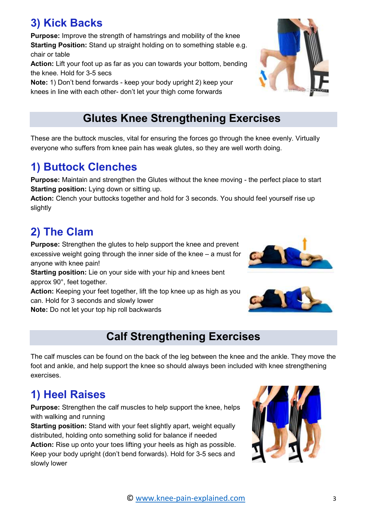## 3) Kick Backs

**Purpose:** Improve the strength of hamstrings and mobility of the knee Starting Position: Stand up straight holding on to something stable e.g. chair or table

Action: Lift your foot up as far as you can towards your bottom, bending the knee. Hold for 3-5 secs

Note: 1) Don't bend forwards - keep your body upright 2) keep your knees in line with each other- don't let your thigh come forwards

#### Glutes Knee Strengthening Exercises

These are the buttock muscles, vital for ensuring the forces go through the knee evenly. Virtually everyone who suffers from knee pain has weak glutes, so they are well worth doing.

#### 1) Buttock Clenches

Purpose: Maintain and strengthen the Glutes without the knee moving - the perfect place to start Starting position: Lying down or sitting up.

Action: Clench your buttocks together and hold for 3 seconds. You should feel yourself rise up slightly

## 2) The Clam

Purpose: Strengthen the glutes to help support the knee and prevent excessive weight going through the inner side of the knee – a must for anyone with knee pain!

Starting position: Lie on your side with your hip and knees bent approx 90°, feet together.

Action: Keeping your feet together, lift the top knee up as high as you can. Hold for 3 seconds and slowly lower

Note: Do not let your top hip roll backwards

#### Calf Strengthening Exercises

The calf muscles can be found on the back of the leg between the knee and the ankle. They move the foot and ankle, and help support the knee so should always been included with knee strengthening exercises.

# 1) Heel Raises

Purpose: Strengthen the calf muscles to help support the knee, helps with walking and running

Starting position: Stand with your feet slightly apart, weight equally distributed, holding onto something solid for balance if needed

Action: Rise up onto your toes lifting your heels as high as possible. Keep your body upright (don't bend forwards). Hold for 3-5 secs and slowly lower